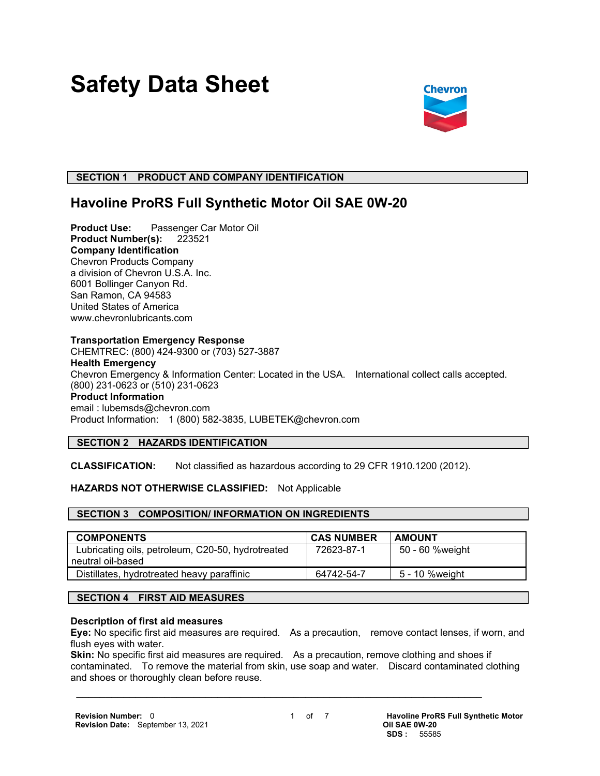# **Safety Data Sheet**



# **SECTION 1 PRODUCT AND COMPANY IDENTIFICATION**

# **Havoline ProRS Full Synthetic Motor Oil SAE 0W-20**

**Product Use:** Passenger Car Motor Oil **Product Number(s):** 223521 **Company Identification** Chevron Products Company a division of Chevron U.S.A. Inc. 6001 Bollinger Canyon Rd. San Ramon, CA 94583 United States of America www.chevronlubricants.com

#### **Transportation Emergency Response**

CHEMTREC: (800) 424-9300 or (703) 527-3887 **Health Emergency** Chevron Emergency & Information Center: Located in the USA. International collect calls accepted. (800) 231-0623 or (510) 231-0623 **Product Information** email : lubemsds@chevron.com Product Information: 1 (800) 582-3835, LUBETEK@chevron.com

# **SECTION 2 HAZARDS IDENTIFICATION**

**CLASSIFICATION:** Not classified as hazardous according to 29 CFR 1910.1200 (2012).

# **HAZARDS NOT OTHERWISE CLASSIFIED:** Not Applicable

# **SECTION 3 COMPOSITION/ INFORMATION ON INGREDIENTS**

| <b>COMPONENTS</b>                                 | <b>CAS NUMBER</b> | <b>AMOUNT</b>   |
|---------------------------------------------------|-------------------|-----------------|
| Lubricating oils, petroleum, C20-50, hydrotreated | 72623-87-1        | 50 - 60 %weight |
| neutral oil-based                                 |                   |                 |
| Distillates, hydrotreated heavy paraffinic        | 64742-54-7        | 5 - 10 %weight  |

# **SECTION 4 FIRST AID MEASURES**

#### **Description of first aid measures**

**Eye:** No specific first aid measures are required. As a precaution, remove contact lenses, if worn, and flush eyes with water.

**Skin:** No specific first aid measures are required. As a precaution, remove clothing and shoes if contaminated. To remove the material from skin, use soap and water. Discard contaminated clothing and shoes or thoroughly clean before reuse.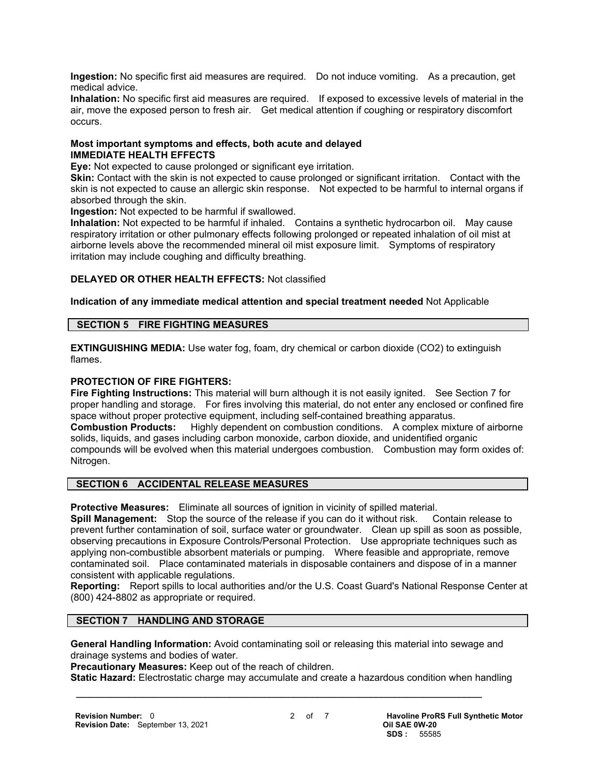**Ingestion:** No specific first aid measures are required. Do not induce vomiting. As a precaution, get medical advice.

**Inhalation:** No specific first aid measures are required. If exposed to excessive levels of material in the air, move the exposed person to fresh air. Get medical attention if coughing or respiratory discomfort occurs.

# **Most important symptoms and effects, both acute and delayed IMMEDIATE HEALTH EFFECTS**

**Eye:** Not expected to cause prolonged or significant eye irritation.

**Skin:** Contact with the skin is not expected to cause prolonged or significant irritation. Contact with the skin is not expected to cause an allergic skin response. Not expected to be harmful to internal organs if absorbed through the skin.

**Ingestion:** Not expected to be harmful if swallowed.

**Inhalation:** Not expected to be harmful if inhaled. Contains a synthetic hydrocarbon oil. May cause respiratory irritation or other pulmonary effects following prolonged or repeated inhalation of oil mist at airborne levels above the recommended mineral oil mist exposure limit. Symptoms of respiratory irritation may include coughing and difficulty breathing.

# **DELAYED OR OTHER HEALTH EFFECTS:** Not classified

# **Indication of any immediate medical attention and special treatment needed** Not Applicable

#### **SECTION 5 FIRE FIGHTING MEASURES**

**EXTINGUISHING MEDIA:** Use water fog, foam, dry chemical or carbon dioxide (CO2) to extinguish flames.

# **PROTECTION OF FIRE FIGHTERS:**

**Fire Fighting Instructions:** This material will burn although it is not easily ignited. See Section 7 for proper handling and storage. For fires involving this material, do not enter any enclosed or confined fire space without proper protective equipment, including self-contained breathing apparatus. **Combustion Products:** Highly dependent on combustion conditions. A complex mixture of airborne solids, liquids, and gases including carbon monoxide, carbon dioxide, and unidentified organic compounds will be evolved when this material undergoes combustion. Combustion may form oxides of: Nitrogen.

# **SECTION 6 ACCIDENTAL RELEASE MEASURES**

**Protective Measures:** Eliminate all sources of ignition in vicinity of spilled material.

**Spill Management:** Stop the source of the release if you can do it without risk. Contain release to prevent further contamination of soil, surface water or groundwater. Clean up spill as soon as possible, observing precautions in Exposure Controls/Personal Protection. Use appropriate techniques such as applying non-combustible absorbent materials or pumping. Where feasible and appropriate, remove contaminated soil. Place contaminated materials in disposable containers and dispose of in a manner consistent with applicable regulations.

**Reporting:** Report spills to local authorities and/or the U.S. Coast Guard's National Response Center at (800) 424-8802 as appropriate or required.

# **SECTION 7 HANDLING AND STORAGE**

**General Handling Information:** Avoid contaminating soil or releasing this material into sewage and drainage systems and bodies of water.

**Precautionary Measures:** Keep out of the reach of children.

**Static Hazard:** Electrostatic charge may accumulate and create a hazardous condition when handling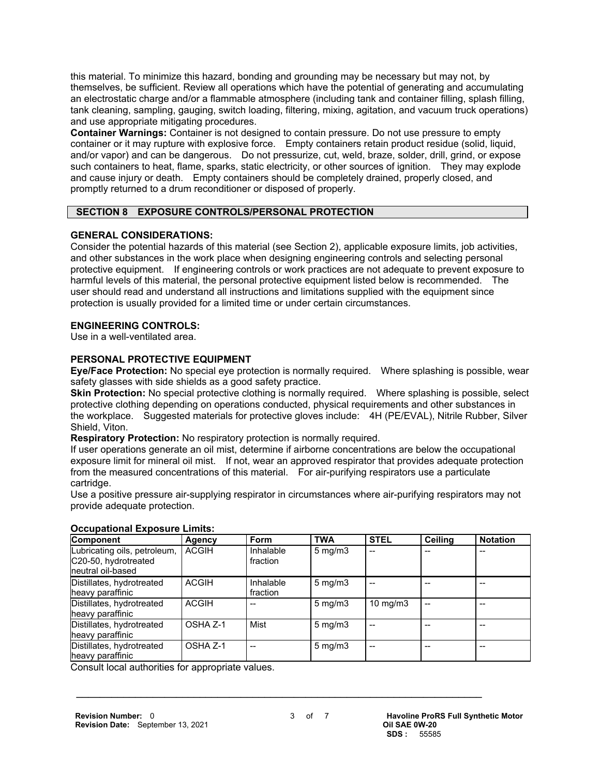this material. To minimize this hazard, bonding and grounding may be necessary but may not, by themselves, be sufficient. Review all operations which have the potential of generating and accumulating an electrostatic charge and/or a flammable atmosphere (including tank and container filling, splash filling, tank cleaning, sampling, gauging, switch loading, filtering, mixing, agitation, and vacuum truck operations) and use appropriate mitigating procedures.

**Container Warnings:** Container is not designed to contain pressure. Do not use pressure to empty container or it may rupture with explosive force. Empty containers retain product residue (solid, liquid, and/or vapor) and can be dangerous. Do not pressurize, cut, weld, braze, solder, drill, grind, or expose such containers to heat, flame, sparks, static electricity, or other sources of ignition. They may explode and cause injury or death. Empty containers should be completely drained, properly closed, and promptly returned to a drum reconditioner or disposed of properly.

# **SECTION 8 EXPOSURE CONTROLS/PERSONAL PROTECTION**

# **GENERAL CONSIDERATIONS:**

Consider the potential hazards of this material (see Section 2), applicable exposure limits, job activities, and other substances in the work place when designing engineering controls and selecting personal protective equipment. If engineering controls or work practices are not adequate to prevent exposure to harmful levels of this material, the personal protective equipment listed below is recommended. The user should read and understand all instructions and limitations supplied with the equipment since protection is usually provided for a limited time or under certain circumstances.

# **ENGINEERING CONTROLS:**

Use in a well-ventilated area.

# **PERSONAL PROTECTIVE EQUIPMENT**

**Eye/Face Protection:** No special eye protection is normally required. Where splashing is possible, wear safety glasses with side shields as a good safety practice.

**Skin Protection:** No special protective clothing is normally required. Where splashing is possible, select protective clothing depending on operations conducted, physical requirements and other substances in the workplace. Suggested materials for protective gloves include: 4H (PE/EVAL), Nitrile Rubber, Silver Shield, Viton.

**Respiratory Protection:** No respiratory protection is normally required.

If user operations generate an oil mist, determine if airborne concentrations are below the occupational exposure limit for mineral oil mist. If not, wear an approved respirator that provides adequate protection from the measured concentrations of this material. For air-purifying respirators use a particulate cartridge.

Use a positive pressure air-supplying respirator in circumstances where air-purifying respirators may not provide adequate protection.

| Component                                                                  | Agency       | <b>Form</b>           | <b>TWA</b>       | <b>STEL</b>       | Ceiling | <b>Notation</b> |
|----------------------------------------------------------------------------|--------------|-----------------------|------------------|-------------------|---------|-----------------|
| Lubricating oils, petroleum,<br>C20-50, hydrotreated<br>Ineutral oil-based | <b>ACGIH</b> | Inhalable<br>fraction | $5 \text{ mg/m}$ | --                |         |                 |
| Distillates, hydrotreated<br>heavy paraffinic                              | <b>ACGIH</b> | Inhalable<br>fraction | $5 \text{ mg/m}$ |                   |         |                 |
| Distillates, hydrotreated<br>heavy paraffinic                              | <b>ACGIH</b> |                       | $5 \text{ mg/m}$ | $10 \text{ mg/m}$ |         |                 |
| Distillates, hydrotreated<br>heavy paraffinic                              | OSHA Z-1     | Mist                  | $5 \text{ mg/m}$ |                   |         |                 |
| Distillates, hydrotreated<br>heavy paraffinic                              | OSHA Z-1     | --                    | $5 \text{ mg/m}$ |                   |         |                 |

# **Occupational Exposure Limits:**

Consult local authorities for appropriate values.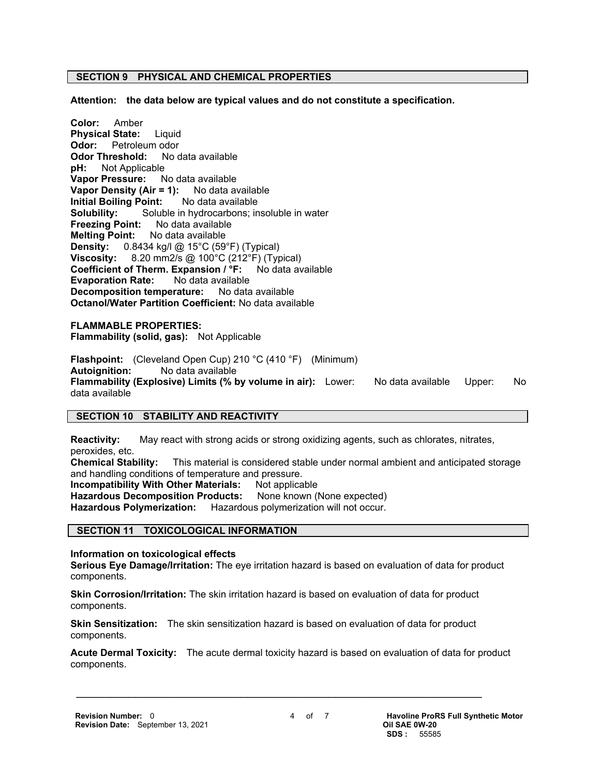# **SECTION 9 PHYSICAL AND CHEMICAL PROPERTIES**

**Attention: the data below are typical values and do not constitute a specification.**

**Color:** Amber **Physical State:** Liquid **Odor:** Petroleum odor **Odor Threshold:** No data available **pH:** Not Applicable **Vapor Pressure:** No data available **Vapor Density (Air = 1):** No data available **Initial Boiling Point:** No data available **Solubility:** Soluble in hydrocarbons; insoluble in water **Freezing Point:** No data available **Melting Point:** No data available **Density:** 0.8434 kg/l @ 15°C (59°F) (Typical) **Viscosity:** 8.20 mm2/s @ 100°C (212°F) (Typical) **Coefficient of Therm. Expansion / °F:** No data available **Evaporation Rate:** No data available **Decomposition temperature:** No data available **Octanol/Water Partition Coefficient:** No data available

**FLAMMABLE PROPERTIES: Flammability (solid, gas):** Not Applicable

**Flashpoint:** (Cleveland Open Cup) 210 °C (410 °F) (Minimum) **Autoignition:** No data available **Flammability (Explosive) Limits (% by volume in air):** Lower: No data available Upper: No data available

# **SECTION 10 STABILITY AND REACTIVITY**

**Reactivity:** May react with strong acids or strong oxidizing agents, such as chlorates, nitrates, peroxides, etc.

**Chemical Stability:** This material is considered stable under normal ambient and anticipated storage and handling conditions of temperature and pressure.

**Incompatibility With Other Materials: Not applicable** 

Hazardous Decomposition Products: None known (None expected)

**Hazardous Polymerization:** Hazardous polymerization will not occur.

#### **SECTION 11 TOXICOLOGICAL INFORMATION**

**Information on toxicological effects**

**Serious Eye Damage/Irritation:** The eye irritation hazard is based on evaluation of data for product components.

**Skin Corrosion/Irritation:** The skin irritation hazard is based on evaluation of data for product components.

**Skin Sensitization:** The skin sensitization hazard is based on evaluation of data for product components.

 $\mathcal{L} = \{ \mathcal{L} \mathcal{L} \mathcal{L} \mathcal{L} \mathcal{L} \mathcal{L} \mathcal{L} \mathcal{L} \mathcal{L} \mathcal{L} \mathcal{L} \mathcal{L} \mathcal{L} \mathcal{L} \mathcal{L} \mathcal{L} \mathcal{L} \mathcal{L} \mathcal{L} \mathcal{L} \mathcal{L} \mathcal{L} \mathcal{L} \mathcal{L} \mathcal{L} \mathcal{L} \mathcal{L} \mathcal{L} \mathcal{L} \mathcal{L} \mathcal{L} \mathcal{L} \mathcal{L} \mathcal{L} \mathcal{L} \$ 

**Acute Dermal Toxicity:** The acute dermal toxicity hazard is based on evaluation of data for product components.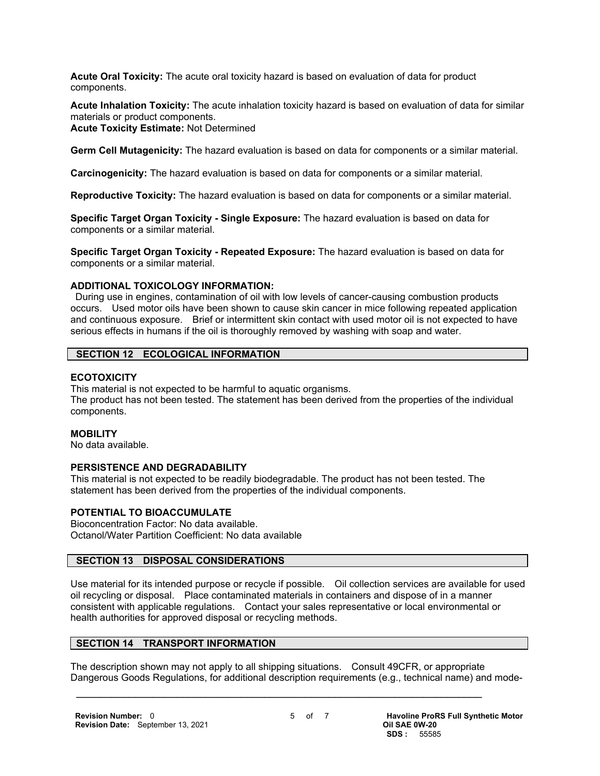**Acute Oral Toxicity:** The acute oral toxicity hazard is based on evaluation of data for product components.

**Acute Inhalation Toxicity:** The acute inhalation toxicity hazard is based on evaluation of data for similar materials or product components.

#### **Acute Toxicity Estimate:** Not Determined

**Germ Cell Mutagenicity:** The hazard evaluation is based on data for components or a similar material.

**Carcinogenicity:** The hazard evaluation is based on data for components or a similar material.

**Reproductive Toxicity:** The hazard evaluation is based on data for components or a similar material.

**Specific Target Organ Toxicity - Single Exposure:** The hazard evaluation is based on data for components or a similar material.

**Specific Target Organ Toxicity - Repeated Exposure:** The hazard evaluation is based on data for components or a similar material.

#### **ADDITIONAL TOXICOLOGY INFORMATION:**

 During use in engines, contamination of oil with low levels of cancer-causing combustion products occurs. Used motor oils have been shown to cause skin cancer in mice following repeated application and continuous exposure. Brief or intermittent skin contact with used motor oil is not expected to have serious effects in humans if the oil is thoroughly removed by washing with soap and water.

#### **SECTION 12 ECOLOGICAL INFORMATION**

#### **ECOTOXICITY**

This material is not expected to be harmful to aquatic organisms. The product has not been tested. The statement has been derived from the properties of the individual components.

#### **MOBILITY**

No data available.

#### **PERSISTENCE AND DEGRADABILITY**

This material is not expected to be readily biodegradable. The product has not been tested. The statement has been derived from the properties of the individual components.

# **POTENTIAL TO BIOACCUMULATE**

Bioconcentration Factor: No data available. Octanol/Water Partition Coefficient: No data available

# **SECTION 13 DISPOSAL CONSIDERATIONS**

Use material for its intended purpose or recycle if possible. Oil collection services are available for used oil recycling or disposal. Place contaminated materials in containers and dispose of in a manner consistent with applicable regulations. Contact your sales representative or local environmental or health authorities for approved disposal or recycling methods.

# **SECTION 14 TRANSPORT INFORMATION**

The description shown may not apply to all shipping situations. Consult 49CFR, or appropriate Dangerous Goods Regulations, for additional description requirements (e.g., technical name) and mode-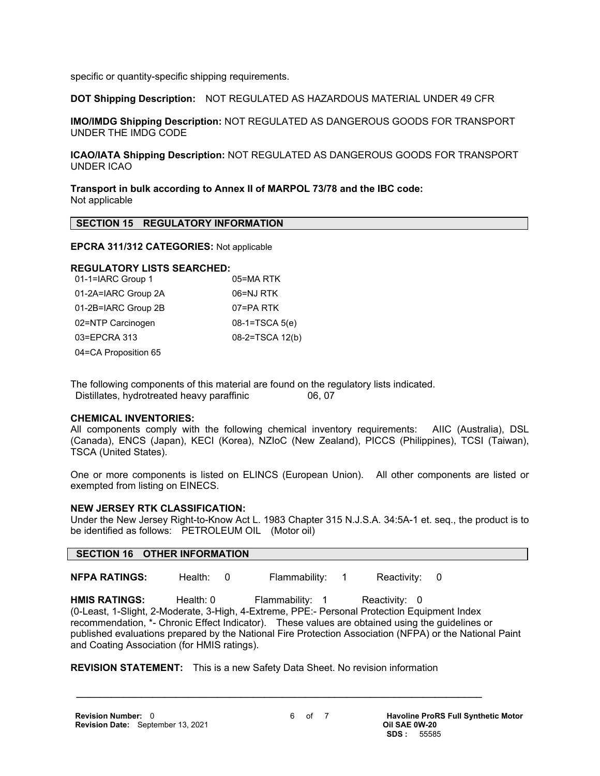specific or quantity-specific shipping requirements.

**DOT Shipping Description:** NOT REGULATED AS HAZARDOUS MATERIAL UNDER 49 CFR

**IMO/IMDG Shipping Description:** NOT REGULATED AS DANGEROUS GOODS FOR TRANSPORT UNDER THE IMDG CODE

**ICAO/IATA Shipping Description:** NOT REGULATED AS DANGEROUS GOODS FOR TRANSPORT UNDER ICAO

**Transport in bulk according to Annex II of MARPOL 73/78 and the IBC code:** Not applicable

#### **SECTION 15 REGULATORY INFORMATION**

#### **EPCRA 311/312 CATEGORIES:** Not applicable

#### **REGULATORY LISTS SEARCHED:**

| 01-1=IARC Group 1    | 05=MA RTK        |
|----------------------|------------------|
| 01-2A=IARC Group 2A  | 06=NJ RTK        |
| 01-2B=IARC Group 2B  | 07=PA RTK        |
| 02=NTP Carcinogen    | $08-1=TSCA 5(e)$ |
| 03=EPCRA 313         | 08-2=TSCA 12(b)  |
| 04=CA Proposition 65 |                  |

The following components of this material are found on the regulatory lists indicated. Distillates, hydrotreated heavy paraffinic 06, 07

# **CHEMICAL INVENTORIES:**

All components comply with the following chemical inventory requirements: AIIC (Australia), DSL (Canada), ENCS (Japan), KECI (Korea), NZIoC (New Zealand), PICCS (Philippines), TCSI (Taiwan), TSCA (United States).

One or more components is listed on ELINCS (European Union). All other components are listed or exempted from listing on EINECS.

#### **NEW JERSEY RTK CLASSIFICATION:**

Under the New Jersey Right-to-Know Act L. 1983 Chapter 315 N.J.S.A. 34:5A-1 et. seq., the product is to be identified as follows: PETROLEUM OIL (Motor oil)

#### **SECTION 16 OTHER INFORMATION**

**NFPA RATINGS:** Health: 0 Flammability: 1 Reactivity: 0

HMIS RATINGS: Health: 0 Flammability: 1 Reactivity: 0 (0-Least, 1-Slight, 2-Moderate, 3-High, 4-Extreme, PPE:- Personal Protection Equipment Index recommendation, \*- Chronic Effect Indicator). These values are obtained using the guidelines or published evaluations prepared by the National Fire Protection Association (NFPA) or the National Paint and Coating Association (for HMIS ratings).

**REVISION STATEMENT:** This is a new Safety Data Sheet. No revision information